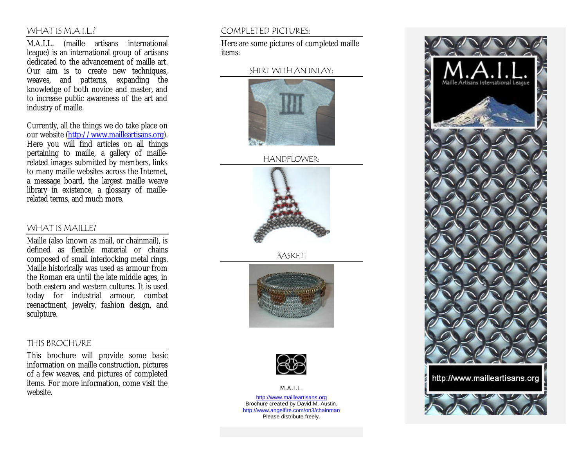#### WHAT IS M.A.I.L.?

M.A.I.L. (maille artisans international league) is an international group of artisans dedicated to the advancement of maille art. Our aim is to create new techniques, weaves, and patterns, expanding the knowledge of both novice and master, and to increase public awareness of the art and industry of maille.

Currently, all the things we do take place on our website (http://www.mailleartisans.org). Here you will find articles on all things pertaining to maille, a gallery of maillerelated images submitted by members, links to many maille websites across the Internet, a message board, the largest maille weave library in existence, a glossary of maillerelated terms, and much more.

#### WHAT IS MAILLE?

Maille (also known as mail, or chainmail), is defined as flexible material or chains composed of small interlocking metal rings. Maille historically was used as armour from the Roman era until the late middle ages, in both eastern and western cultures. It is used today for industrial armour, combat reenactment, jewelry, fashion design, and sculpture.

#### THIS BROCHURE

This brochure will provide some basic information on maille construction, pictures of a few weaves, and pictures of completed items. For more information, come visit the website.

## COMPLETED PICTURES:

Here are some pictures of completed maille items:

#### SHIRT WITH AN INLAY:



HANDFLOWER:



BASKET:





M.A.I.L. http://www.mailleartisans.org Brochure created by David M. Austin. http://www.angelfire.com/on3/chainman Please distribute freely.